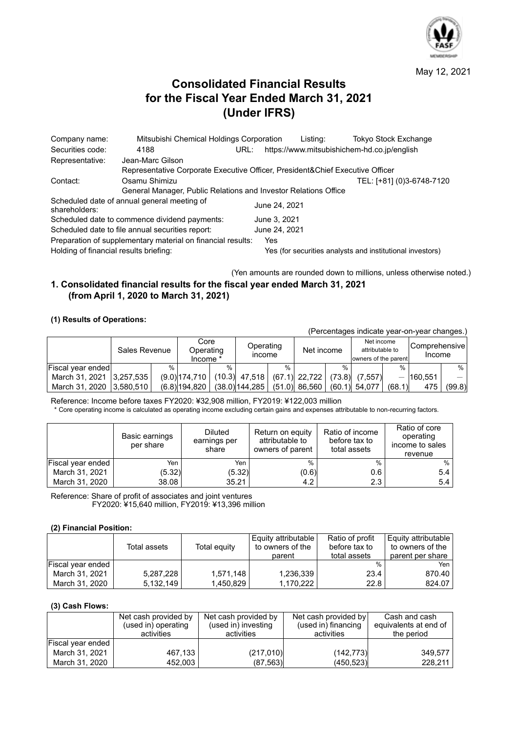

May 12, 2021

# **Consolidated Financial Results for the Fiscal Year Ended March 31, 2021 (Under IFRS)**

| Company name:                          | Mitsubishi Chemical Holdings Corporation                                      |      |               | Listing: | <b>Tokyo Stock Exchange</b>                               |
|----------------------------------------|-------------------------------------------------------------------------------|------|---------------|----------|-----------------------------------------------------------|
| Securities code:                       | 4188                                                                          | URL: |               |          | https://www.mitsubishichem-hd.co.jp/english               |
| Representative:                        | Jean-Marc Gilson                                                              |      |               |          |                                                           |
|                                        | Representative Corporate Executive Officer, President&Chief Executive Officer |      |               |          |                                                           |
| Contact:                               | Osamu Shimizu                                                                 |      |               |          | TEL: [+81] (0)3-6748-7120                                 |
|                                        | General Manager, Public Relations and Investor Relations Office               |      |               |          |                                                           |
| shareholders:                          | Scheduled date of annual general meeting of                                   |      | June 24, 2021 |          |                                                           |
|                                        | Scheduled date to commence dividend payments:                                 |      | June 3, 2021  |          |                                                           |
|                                        | Scheduled date to file annual securities report:                              |      | June 24, 2021 |          |                                                           |
|                                        | Preparation of supplementary material on financial results:                   |      | Yes           |          |                                                           |
| Holding of financial results briefing: |                                                                               |      |               |          | Yes (for securities analysts and institutional investors) |

(Yen amounts are rounded down to millions, unless otherwise noted.)

## **1. Consolidated financial results for the fiscal year ended March 31, 2021 (from April 1, 2020 to March 31, 2021)**

### **(1) Results of Operations:**

| (Percentages indicate year-on-year changes.) |               |      |                  |                                                             |                   |               |                 |        |                                                       |               |                         |        |
|----------------------------------------------|---------------|------|------------------|-------------------------------------------------------------|-------------------|---------------|-----------------|--------|-------------------------------------------------------|---------------|-------------------------|--------|
|                                              | Sales Revenue |      |                  | Core<br>Operating<br>Operating<br><b>Income</b><br>Income * |                   |               | Net income      |        | Net income<br>attributable to<br>owners of the parent |               | Comprehensive<br>Income |        |
| Fiscal year ended                            |               | $\%$ |                  | $\frac{0}{0}$                                               |                   | $\frac{0}{0}$ |                 | %      |                                                       | $\frac{0}{0}$ |                         | $%$ 1  |
| March 31, 2021                               | 3.257.535     |      | $(9.0)$ 174.710  |                                                             | $(10.3)$ 47,518   |               | $(67.1)$ 22,722 | (73.8) | (7.557)                                               |               | 160.551                 |        |
| March 31, 2020 3,580,510                     |               |      | $(6.8)$  194.820 |                                                             | $(38.0)$ 144, 285 |               | $(51.0)$ 86,560 |        | $(60.1)$ 54,077                                       | (68.1)        | 475                     | (99.8) |

Reference: Income before taxes FY2020: ¥32,908 million, FY2019: ¥122,003 million \* Core operating income is calculated as operating income excluding certain gains and expenses attributable to non-recurring factors.

|                   | Basic earnings<br>per share | Diluted<br>earnings per<br>share | Return on equity<br>attributable to<br>owners of parent | Ratio of income<br>before tax to<br>total assets | Ratio of core<br>operating<br>income to sales<br>revenue |
|-------------------|-----------------------------|----------------------------------|---------------------------------------------------------|--------------------------------------------------|----------------------------------------------------------|
| Fiscal year ended | Yen                         | Yen                              | $\%$                                                    | $\frac{0}{0}$                                    | %                                                        |
| March 31, 2021    | (5.32)                      | (5.32)                           | (0.6)                                                   | 0.6                                              | 5.4                                                      |
| March 31, 2020    | 38.08                       | 35.21                            | 4.2                                                     | 2.3                                              | 5.4                                                      |

Reference: Share of profit of associates and joint ventures FY2020: ¥15,640 million, FY2019: ¥13,396 million

#### **(2) Financial Position:**

|                   | Total assets | Total equity | Equity attributable<br>to owners of the<br>parent | Ratio of profit<br>before tax to<br>total assets | <b>Equity attributable</b><br>to owners of the<br>parent per share |
|-------------------|--------------|--------------|---------------------------------------------------|--------------------------------------------------|--------------------------------------------------------------------|
| Fiscal year ended |              |              |                                                   | $\frac{0}{0}$                                    | Yen                                                                |
| March 31, 2021    | 5,287,228    | 1.571.148    | 1.236.339                                         | 23.4                                             | 870.40                                                             |
| March 31, 2020    | 5,132,149    | 1.450.829    | 1.170.222                                         | 22.8                                             | 824.07                                                             |

#### **(3) Cash Flows:**

|                   | Net cash provided by | Net cash provided by | Net cash provided by | Cash and cash         |
|-------------------|----------------------|----------------------|----------------------|-----------------------|
|                   | (used in) operating  | (used in) investing  | (used in) financing  | equivalents at end of |
|                   | activities           | activities           | activities           | the period            |
| Fiscal year ended |                      |                      |                      |                       |
| March 31, 2021    | 467.133              | (217,010)            | (142, 773)           | 349.577               |
| March 31, 2020    | 452.003              | (87, 563)            | (450, 523)           | 228.211               |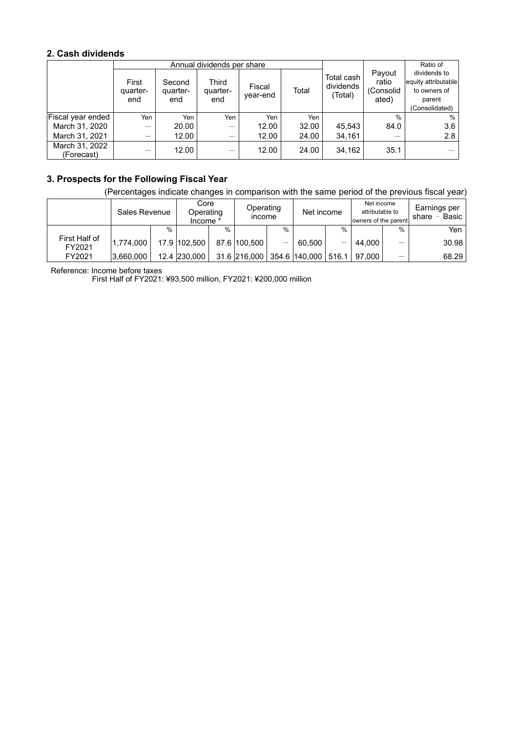## **2. Cash dividends**

|                              |                          |                           | Annual dividends per share |                    |       | Ratio of                           |                                       |                                                                                 |
|------------------------------|--------------------------|---------------------------|----------------------------|--------------------|-------|------------------------------------|---------------------------------------|---------------------------------------------------------------------------------|
|                              | First<br>quarter-<br>end | Second<br>quarter-<br>end | Third<br>quarter-<br>end   | Fiscal<br>year-end | Total | Total cash<br>dividends<br>(Total) | Payout<br>ratio<br>(Consolid<br>ated) | dividends to<br>equity attributable<br>to owners of<br>parent<br>(Consolidated) |
| Fiscal year ended            | Yen                      | Yen                       | Yen                        | Yen                | Yen   |                                    | $\%$                                  | $\%$                                                                            |
| March 31, 2020               | —                        | 20.00                     | –                          | 12.00              | 32.00 | 45.543                             | 84.0                                  | 3.6                                                                             |
| March 31, 2021               | -                        | 12.00                     |                            | 12.00              | 24.00 | 34,161                             |                                       | 2.8                                                                             |
| March 31, 2022<br>(Forecast) |                          | 12.00                     |                            | 12.00              | 24.00 | 34.162                             | 35.1                                  |                                                                                 |

## **3. Prospects for the Following Fiscal Year**

(Percentages indicate changes in comparison with the same period of the previous fiscal year)

|                         | Sales Revenue |      | Core<br>Operating<br>Income * |               | Operating<br><b>Income</b> |      | Net income          |               | Net income<br>attributable to<br>owners of the parent |      | Earnings per<br>Basic<br>share |
|-------------------------|---------------|------|-------------------------------|---------------|----------------------------|------|---------------------|---------------|-------------------------------------------------------|------|--------------------------------|
|                         |               | $\%$ |                               | $\frac{0}{0}$ |                            | $\%$ |                     | $\frac{0}{0}$ |                                                       | $\%$ | Yen                            |
| First Half of<br>FY2021 | 1.774.000     |      | 17.9 102.500                  |               | 87.6 100.500               |      | 60.500              |               | 44.000                                                |      | 30.98                          |
| FY2021                  | 3,660,000     |      | 12.4 230,000                  |               | 31.6 216,000               |      | 354.6 140.000 516.1 |               | 97.000                                                |      | 68.29                          |

Reference: Income before taxes

First Half of FY2021: ¥93,500 million, FY2021: ¥200,000 million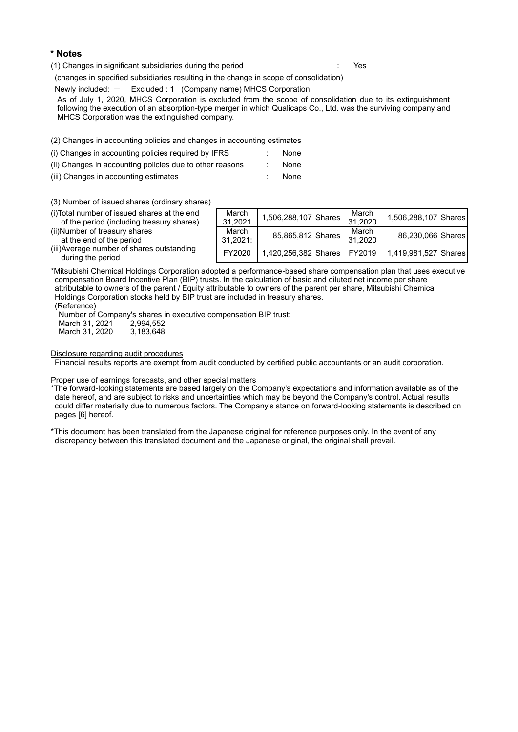#### **\* Notes**

(1) Changes in significant subsidiaries during the period : Yes

(changes in specified subsidiaries resulting in the change in scope of consolidation)

Newly included:  $-$  Excluded : 1 (Company name) MHCS Corporation

As of July 1, 2020, MHCS Corporation is excluded from the scope of consolidation due to its extinguishment following the execution of an absorption-type merger in which Qualicaps Co., Ltd. was the surviving company and MHCS Corporation was the extinguished company.

(2) Changes in accounting policies and changes in accounting estimates

- (i) Changes in accounting policies required by IFRS : None
- (ii) Changes in accounting policies due to other reasons : None
- (iii) Changes in accounting estimates : None
- 

(3) Number of issued shares (ordinary shares)

| (i) Total number of issued shares at the end<br>of the period (including treasury shares) | March<br>31,2021  | 1,506,288,107 Shares | March<br>31.2020 | 1,506,288,107 Shares |
|-------------------------------------------------------------------------------------------|-------------------|----------------------|------------------|----------------------|
| (ii) Number of treasury shares<br>at the end of the period                                | March<br>31.2021: | 85,865,812 Shares    | March<br>31.2020 | 86,230,066 Shares    |
| (iii) Average number of shares outstanding<br>during the period                           | FY2020            | 1,420,256,382 Shares | FY2019           | 1,419,981,527 Shares |

\*Mitsubishi Chemical Holdings Corporation adopted a performance-based share compensation plan that uses executive compensation Board Incentive Plan (BIP) trusts. In the calculation of basic and diluted net income per share attributable to owners of the parent / Equity attributable to owners of the parent per share, Mitsubishi Chemical Holdings Corporation stocks held by BIP trust are included in treasury shares. (Reference)

Number of Company's shares in executive compensation BIP trust: March 31, 2021 2,994,552<br>March 31, 2020 3,183,648 March 31, 2020

Disclosure regarding audit procedures

Financial results reports are exempt from audit conducted by certified public accountants or an audit corporation.

#### Proper use of earnings forecasts, and other special matters

\*The forward-looking statements are based largely on the Company's expectations and information available as of the date hereof, and are subject to risks and uncertainties which may be beyond the Company's control. Actual results could differ materially due to numerous factors. The Company's stance on forward-looking statements is described on pages [6] hereof.

\*This document has been translated from the Japanese original for reference purposes only. In the event of any discrepancy between this translated document and the Japanese original, the original shall prevail.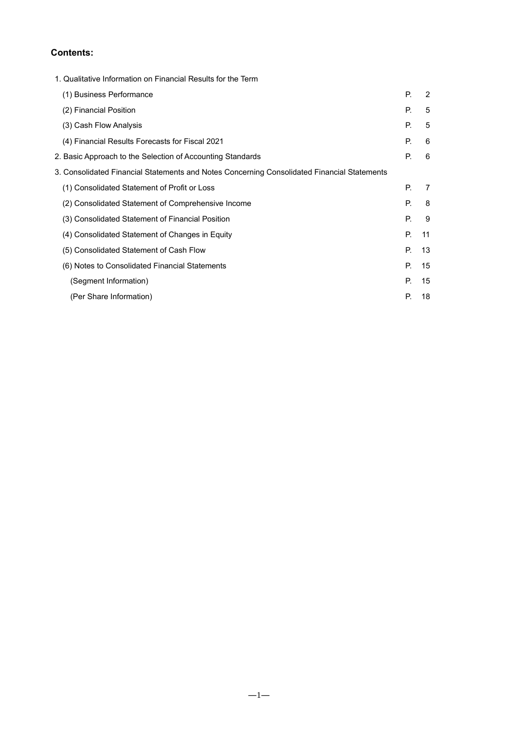## **Contents:**

|                                              | 1. Qualitative Information on Financial Results for the Term                                |    |    |
|----------------------------------------------|---------------------------------------------------------------------------------------------|----|----|
| (1) Business Performance                     |                                                                                             | Р. | 2  |
| (2) Financial Position                       |                                                                                             | Р. | 5  |
| (3) Cash Flow Analysis                       |                                                                                             | Р. | 5  |
|                                              | (4) Financial Results Forecasts for Fiscal 2021                                             | Р. | 6  |
|                                              | 2. Basic Approach to the Selection of Accounting Standards                                  | Р. | 6  |
|                                              | 3. Consolidated Financial Statements and Notes Concerning Consolidated Financial Statements |    |    |
| (1) Consolidated Statement of Profit or Loss |                                                                                             | Р. | 7  |
|                                              | (2) Consolidated Statement of Comprehensive Income                                          | Р. | 8  |
|                                              | (3) Consolidated Statement of Financial Position                                            | Р. | 9  |
|                                              | (4) Consolidated Statement of Changes in Equity                                             | P. | 11 |
| (5) Consolidated Statement of Cash Flow      |                                                                                             | Р. | 13 |
|                                              | (6) Notes to Consolidated Financial Statements                                              | Р. | 15 |
| (Segment Information)                        |                                                                                             | Р. | 15 |
| (Per Share Information)                      |                                                                                             | Р. | 18 |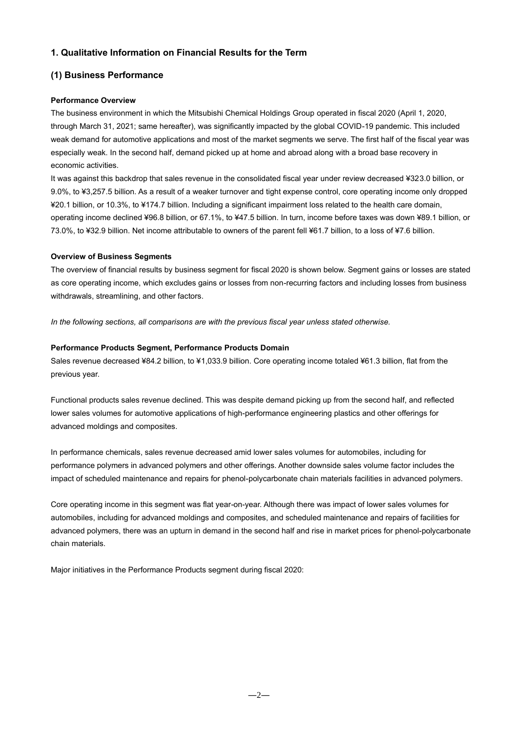## **1. Qualitative Information on Financial Results for the Term**

## **(1) Business Performance**

### **Performance Overview**

The business environment in which the Mitsubishi Chemical Holdings Group operated in fiscal 2020 (April 1, 2020, through March 31, 2021; same hereafter), was significantly impacted by the global COVID-19 pandemic. This included weak demand for automotive applications and most of the market segments we serve. The first half of the fiscal year was especially weak. In the second half, demand picked up at home and abroad along with a broad base recovery in economic activities.

It was against this backdrop that sales revenue in the consolidated fiscal year under review decreased ¥323.0 billion, or 9.0%, to ¥3,257.5 billion. As a result of a weaker turnover and tight expense control, core operating income only dropped ¥20.1 billion, or 10.3%, to ¥174.7 billion. Including a significant impairment loss related to the health care domain, operating income declined ¥96.8 billion, or 67.1%, to ¥47.5 billion. In turn, income before taxes was down ¥89.1 billion, or 73.0%, to ¥32.9 billion. Net income attributable to owners of the parent fell ¥61.7 billion, to a loss of ¥7.6 billion.

#### **Overview of Business Segments**

The overview of financial results by business segment for fiscal 2020 is shown below. Segment gains or losses are stated as core operating income, which excludes gains or losses from non-recurring factors and including losses from business withdrawals, streamlining, and other factors.

*In the following sections, all comparisons are with the previous fiscal year unless stated otherwise.*

### **Performance Products Segment, Performance Products Domain**

Sales revenue decreased ¥84.2 billion, to ¥1,033.9 billion. Core operating income totaled ¥61.3 billion, flat from the previous year.

Functional products sales revenue declined. This was despite demand picking up from the second half, and reflected lower sales volumes for automotive applications of high-performance engineering plastics and other offerings for advanced moldings and composites.

In performance chemicals, sales revenue decreased amid lower sales volumes for automobiles, including for performance polymers in advanced polymers and other offerings. Another downside sales volume factor includes the impact of scheduled maintenance and repairs for phenol-polycarbonate chain materials facilities in advanced polymers.

Core operating income in this segment was flat year-on-year. Although there was impact of lower sales volumes for automobiles, including for advanced moldings and composites, and scheduled maintenance and repairs of facilities for advanced polymers, there was an upturn in demand in the second half and rise in market prices for phenol-polycarbonate chain materials.

Major initiatives in the Performance Products segment during fiscal 2020: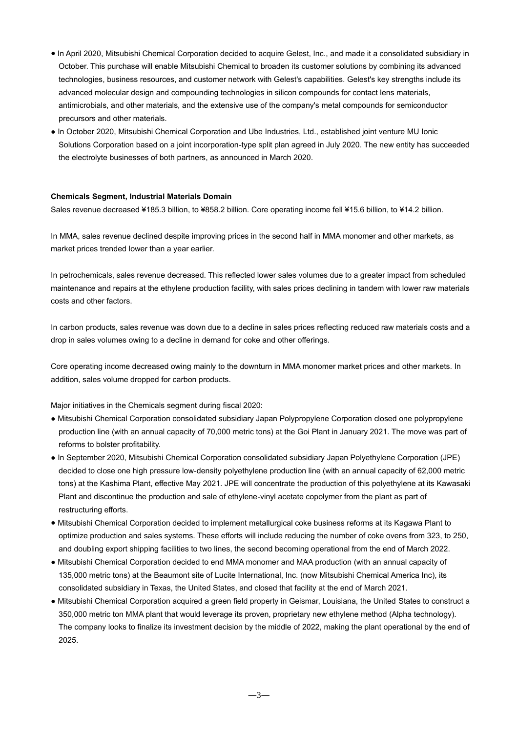- In April 2020, Mitsubishi Chemical Corporation decided to acquire Gelest, Inc., and made it a consolidated subsidiary in October. This purchase will enable Mitsubishi Chemical to broaden its customer solutions by combining its advanced technologies, business resources, and customer network with Gelest's capabilities. Gelest's key strengths include its advanced molecular design and compounding technologies in silicon compounds for contact lens materials, antimicrobials, and other materials, and the extensive use of the company's metal compounds for semiconductor precursors and other materials.
- In October 2020, Mitsubishi Chemical Corporation and Ube Industries, Ltd., established joint venture MU Ionic Solutions Corporation based on a joint incorporation-type split plan agreed in July 2020. The new entity has succeeded the electrolyte businesses of both partners, as announced in March 2020.

#### **Chemicals Segment, Industrial Materials Domain**

Sales revenue decreased ¥185.3 billion, to ¥858.2 billion. Core operating income fell ¥15.6 billion, to ¥14.2 billion.

In MMA, sales revenue declined despite improving prices in the second half in MMA monomer and other markets, as market prices trended lower than a year earlier.

In petrochemicals, sales revenue decreased. This reflected lower sales volumes due to a greater impact from scheduled maintenance and repairs at the ethylene production facility, with sales prices declining in tandem with lower raw materials costs and other factors.

In carbon products, sales revenue was down due to a decline in sales prices reflecting reduced raw materials costs and a drop in sales volumes owing to a decline in demand for coke and other offerings.

Core operating income decreased owing mainly to the downturn in MMA monomer market prices and other markets. In addition, sales volume dropped for carbon products.

Major initiatives in the Chemicals segment during fiscal 2020:

- Mitsubishi Chemical Corporation consolidated subsidiary Japan Polypropylene Corporation closed one polypropylene production line (with an annual capacity of 70,000 metric tons) at the Goi Plant in January 2021. The move was part of reforms to bolster profitability.
- In September 2020, Mitsubishi Chemical Corporation consolidated subsidiary Japan Polyethylene Corporation (JPE) decided to close one high pressure low-density polyethylene production line (with an annual capacity of 62,000 metric tons) at the Kashima Plant, effective May 2021. JPE will concentrate the production of this polyethylene at its Kawasaki Plant and discontinue the production and sale of ethylene-vinyl acetate copolymer from the plant as part of restructuring efforts.
- Mitsubishi Chemical Corporation decided to implement metallurgical coke business reforms at its Kagawa Plant to optimize production and sales systems. These efforts will include reducing the number of coke ovens from 323, to 250, and doubling export shipping facilities to two lines, the second becoming operational from the end of March 2022.
- Mitsubishi Chemical Corporation decided to end MMA monomer and MAA production (with an annual capacity of 135,000 metric tons) at the Beaumont site of Lucite International, Inc. (now Mitsubishi Chemical America Inc), its consolidated subsidiary in Texas, the United States, and closed that facility at the end of March 2021.
- Mitsubishi Chemical Corporation acquired a green field property in Geismar, Louisiana, the United States to construct a 350,000 metric ton MMA plant that would leverage its proven, proprietary new ethylene method (Alpha technology). The company looks to finalize its investment decision by the middle of 2022, making the plant operational by the end of 2025.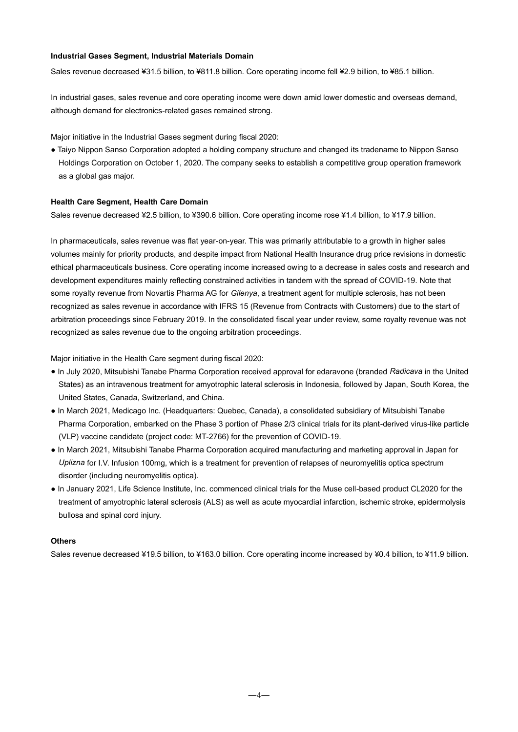#### **Industrial Gases Segment, Industrial Materials Domain**

Sales revenue decreased ¥31.5 billion, to ¥811.8 billion. Core operating income fell ¥2.9 billion, to ¥85.1 billion.

In industrial gases, sales revenue and core operating income were down amid lower domestic and overseas demand, although demand for electronics-related gases remained strong.

Major initiative in the Industrial Gases segment during fiscal 2020:

● Taiyo Nippon Sanso Corporation adopted a holding company structure and changed its tradename to Nippon Sanso Holdings Corporation on October 1, 2020. The company seeks to establish a competitive group operation framework as a global gas major.

#### **Health Care Segment, Health Care Domain**

Sales revenue decreased ¥2.5 billion, to ¥390.6 billion. Core operating income rose ¥1.4 billion, to ¥17.9 billion.

In pharmaceuticals, sales revenue was flat year-on-year. This was primarily attributable to a growth in higher sales volumes mainly for priority products, and despite impact from National Health Insurance drug price revisions in domestic ethical pharmaceuticals business. Core operating income increased owing to a decrease in sales costs and research and development expenditures mainly reflecting constrained activities in tandem with the spread of COVID-19. Note that some royalty revenue from Novartis Pharma AG for *Gilenya*, a treatment agent for multiple sclerosis, has not been recognized as sales revenue in accordance with IFRS 15 (Revenue from Contracts with Customers) due to the start of arbitration proceedings since February 2019. In the consolidated fiscal year under review, some royalty revenue was not recognized as sales revenue due to the ongoing arbitration proceedings.

Major initiative in the Health Care segment during fiscal 2020:

- In July 2020, Mitsubishi Tanabe Pharma Corporation received approval for edaravone (branded *Radicava* in the United States) as an intravenous treatment for amyotrophic lateral sclerosis in Indonesia, followed by Japan, South Korea, the United States, Canada, Switzerland, and China.
- In March 2021, Medicago Inc. (Headquarters: Quebec, Canada), a consolidated subsidiary of Mitsubishi Tanabe Pharma Corporation, embarked on the Phase 3 portion of Phase 2/3 clinical trials for its plant-derived virus-like particle (VLP) vaccine candidate (project code: MT-2766) for the prevention of COVID-19.
- In March 2021, Mitsubishi Tanabe Pharma Corporation acquired manufacturing and marketing approval in Japan for *Uplizna* for I.V. Infusion 100mg, which is a treatment for prevention of relapses of neuromyelitis optica spectrum disorder (including neuromyelitis optica).
- In January 2021, Life Science Institute, Inc. commenced clinical trials for the Muse cell-based product CL2020 for the treatment of amyotrophic lateral sclerosis (ALS) as well as acute myocardial infarction, ischemic stroke, epidermolysis bullosa and spinal cord injury.

#### **Others**

Sales revenue decreased ¥19.5 billion, to ¥163.0 billion. Core operating income increased by ¥0.4 billion, to ¥11.9 billion.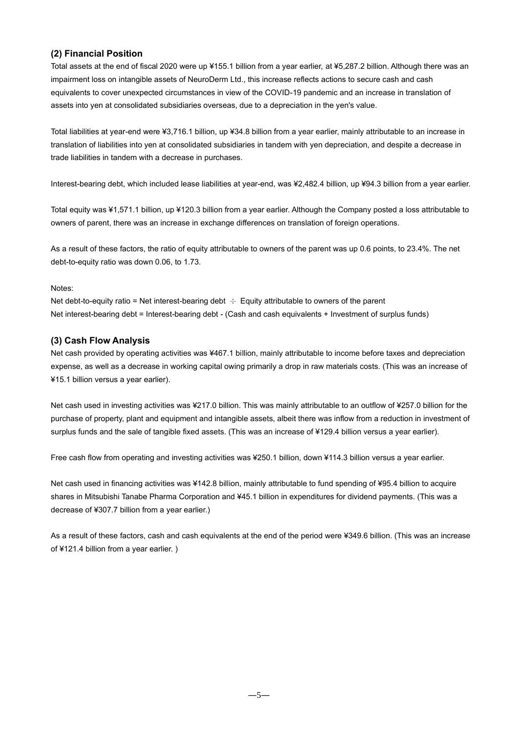## **(2) Financial Position**

Total assets at the end of fiscal 2020 were up ¥155.1 billion from a year earlier, at ¥5,287.2 billion. Although there was an impairment loss on intangible assets of NeuroDerm Ltd., this increase reflects actions to secure cash and cash equivalents to cover unexpected circumstances in view of the COVID-19 pandemic and an increase in translation of assets into yen at consolidated subsidiaries overseas, due to a depreciation in the yen's value.

Total liabilities at year-end were ¥3,716.1 billion, up ¥34.8 billion from a year earlier, mainly attributable to an increase in translation of liabilities into yen at consolidated subsidiaries in tandem with yen depreciation, and despite a decrease in trade liabilities in tandem with a decrease in purchases.

Interest-bearing debt, which included lease liabilities at year-end, was ¥2,482.4 billion, up ¥94.3 billion from a year earlier.

Total equity was ¥1,571.1 billion, up ¥120.3 billion from a year earlier. Although the Company posted a loss attributable to owners of parent, there was an increase in exchange differences on translation of foreign operations.

As a result of these factors, the ratio of equity attributable to owners of the parent was up 0.6 points, to 23.4%. The net debt-to-equity ratio was down 0.06, to 1.73.

#### Notes:

Net debt-to-equity ratio = Net interest-bearing debt  $\div$  Equity attributable to owners of the parent Net interest-bearing debt = Interest-bearing debt - (Cash and cash equivalents + Investment of surplus funds)

#### **(3) Cash Flow Analysis**

Net cash provided by operating activities was ¥467.1 billion, mainly attributable to income before taxes and depreciation expense, as well as a decrease in working capital owing primarily a drop in raw materials costs. (This was an increase of ¥15.1 billion versus a year earlier).

Net cash used in investing activities was ¥217.0 billion. This was mainly attributable to an outflow of ¥257.0 billion for the purchase of property, plant and equipment and intangible assets, albeit there was inflow from a reduction in investment of surplus funds and the sale of tangible fixed assets. (This was an increase of ¥129.4 billion versus a year earlier).

Free cash flow from operating and investing activities was ¥250.1 billion, down ¥114.3 billion versus a year earlier.

Net cash used in financing activities was ¥142.8 billion, mainly attributable to fund spending of ¥95.4 billion to acquire shares in Mitsubishi Tanabe Pharma Corporation and ¥45.1 billion in expenditures for dividend payments. (This was a decrease of ¥307.7 billion from a year earlier.)

As a result of these factors, cash and cash equivalents at the end of the period were ¥349.6 billion. (This was an increase of ¥121.4 billion from a year earlier. )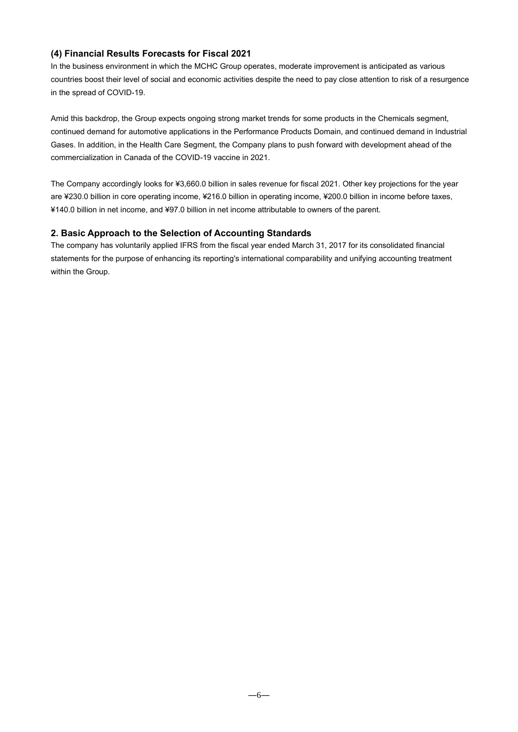## **(4) Financial Results Forecasts for Fiscal 2021**

In the business environment in which the MCHC Group operates, moderate improvement is anticipated as various countries boost their level of social and economic activities despite the need to pay close attention to risk of a resurgence in the spread of COVID-19.

Amid this backdrop, the Group expects ongoing strong market trends for some products in the Chemicals segment, continued demand for automotive applications in the Performance Products Domain, and continued demand in Industrial Gases. In addition, in the Health Care Segment, the Company plans to push forward with development ahead of the commercialization in Canada of the COVID-19 vaccine in 2021.

The Company accordingly looks for ¥3,660.0 billion in sales revenue for fiscal 2021. Other key projections for the year are ¥230.0 billion in core operating income, ¥216.0 billion in operating income, ¥200.0 billion in income before taxes, ¥140.0 billion in net income, and ¥97.0 billion in net income attributable to owners of the parent.

## **2. Basic Approach to the Selection of Accounting Standards**

The company has voluntarily applied IFRS from the fiscal year ended March 31, 2017 for its consolidated financial statements for the purpose of enhancing its reporting's international comparability and unifying accounting treatment within the Group.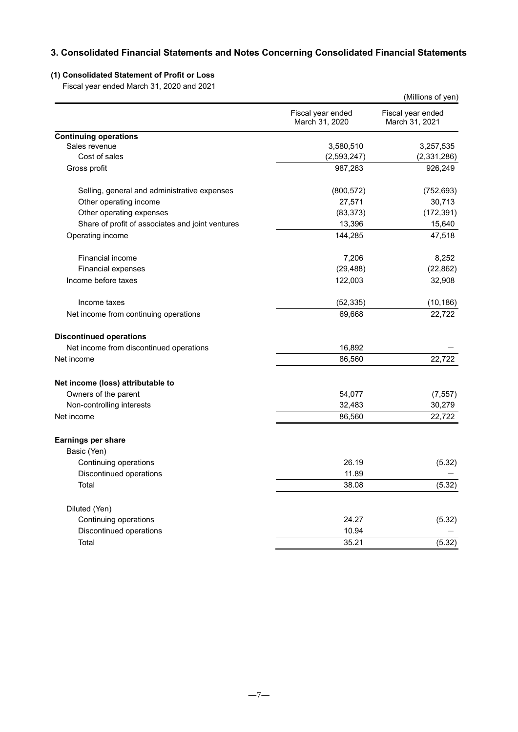## **3. Consolidated Financial Statements and Notes Concerning Consolidated Financial Statements**

## **(1) Consolidated Statement of Profit or Loss**

Fiscal year ended March 31, 2020 and 2021

|                                                  |                                     | (Millions of yen)                   |
|--------------------------------------------------|-------------------------------------|-------------------------------------|
|                                                  | Fiscal year ended<br>March 31, 2020 | Fiscal year ended<br>March 31, 2021 |
| <b>Continuing operations</b>                     |                                     |                                     |
| Sales revenue                                    | 3,580,510                           | 3,257,535                           |
| Cost of sales                                    | (2, 593, 247)                       | (2,331,286)                         |
| Gross profit                                     | 987,263                             | 926,249                             |
| Selling, general and administrative expenses     | (800, 572)                          | (752, 693)                          |
| Other operating income                           | 27,571                              | 30,713                              |
| Other operating expenses                         | (83, 373)                           | (172, 391)                          |
| Share of profit of associates and joint ventures | 13,396                              | 15,640                              |
| Operating income                                 | 144,285                             | 47,518                              |
| Financial income                                 | 7,206                               | 8,252                               |
| Financial expenses                               | (29, 488)                           | (22, 862)                           |
| Income before taxes                              | 122,003                             | 32,908                              |
| Income taxes                                     | (52, 335)                           | (10, 186)                           |
| Net income from continuing operations            | 69,668                              | 22,722                              |
| <b>Discontinued operations</b>                   |                                     |                                     |
| Net income from discontinued operations          | 16,892                              |                                     |
| Net income                                       | 86,560                              | 22,722                              |
| Net income (loss) attributable to                |                                     |                                     |
| Owners of the parent                             | 54,077                              | (7, 557)                            |
| Non-controlling interests                        | 32,483                              | 30,279                              |
| Net income                                       | 86,560                              | 22,722                              |
| Earnings per share                               |                                     |                                     |
| Basic (Yen)                                      |                                     |                                     |
| Continuing operations                            | 26.19                               | (5.32)                              |
| Discontinued operations                          | 11.89                               |                                     |
| Total                                            | 38.08                               | (5.32)                              |
| Diluted (Yen)                                    |                                     |                                     |
| Continuing operations                            | 24.27                               | (5.32)                              |
| Discontinued operations                          | 10.94                               |                                     |
| Total                                            | 35.21                               | (5.32)                              |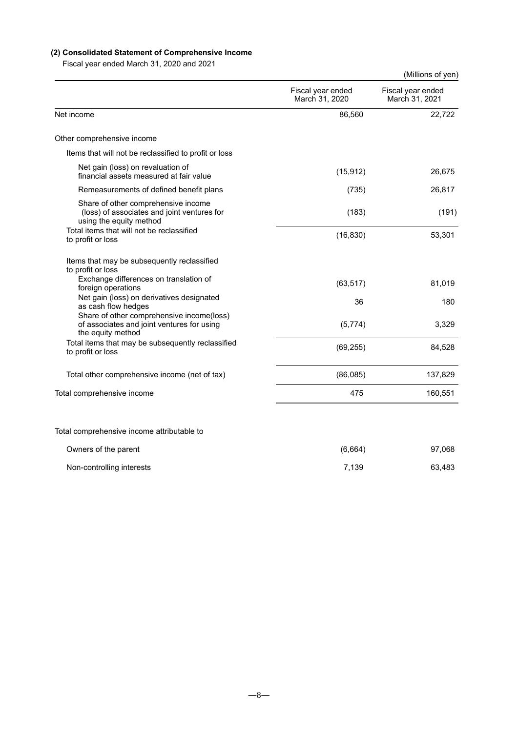## **(2) Consolidated Statement of Comprehensive Income**

Fiscal year ended March 31, 2020 and 2021

| Fiscal year ended March 31, 2020 and 2021                                                                     |                                     | (Millions of yen)                   |
|---------------------------------------------------------------------------------------------------------------|-------------------------------------|-------------------------------------|
|                                                                                                               | Fiscal year ended<br>March 31, 2020 | Fiscal year ended<br>March 31, 2021 |
| Net income                                                                                                    | 86,560                              | 22,722                              |
| Other comprehensive income                                                                                    |                                     |                                     |
| Items that will not be reclassified to profit or loss                                                         |                                     |                                     |
| Net gain (loss) on revaluation of<br>financial assets measured at fair value                                  | (15, 912)                           | 26,675                              |
| Remeasurements of defined benefit plans                                                                       | (735)                               | 26,817                              |
| Share of other comprehensive income<br>(loss) of associates and joint ventures for<br>using the equity method | (183)                               | (191)                               |
| Total items that will not be reclassified<br>to profit or loss                                                | (16, 830)                           | 53,301                              |
| Items that may be subsequently reclassified<br>to profit or loss<br>Exchange differences on translation of    |                                     |                                     |
| foreign operations                                                                                            | (63, 517)                           | 81,019                              |
| Net gain (loss) on derivatives designated<br>as cash flow hedges                                              | 36                                  | 180                                 |
| Share of other comprehensive income(loss)<br>of associates and joint ventures for using<br>the equity method  | (5,774)                             | 3,329                               |
| Total items that may be subsequently reclassified<br>to profit or loss                                        | (69, 255)                           | 84,528                              |
| Total other comprehensive income (net of tax)                                                                 | (86,085)                            | 137,829                             |
| Total comprehensive income                                                                                    | 475                                 | 160,551                             |
| Total comprehensive income attributable to                                                                    |                                     |                                     |
| Owners of the parent                                                                                          | (6,664)                             | 97,068                              |
| Non-controlling interests                                                                                     | 7,139                               | 63,483                              |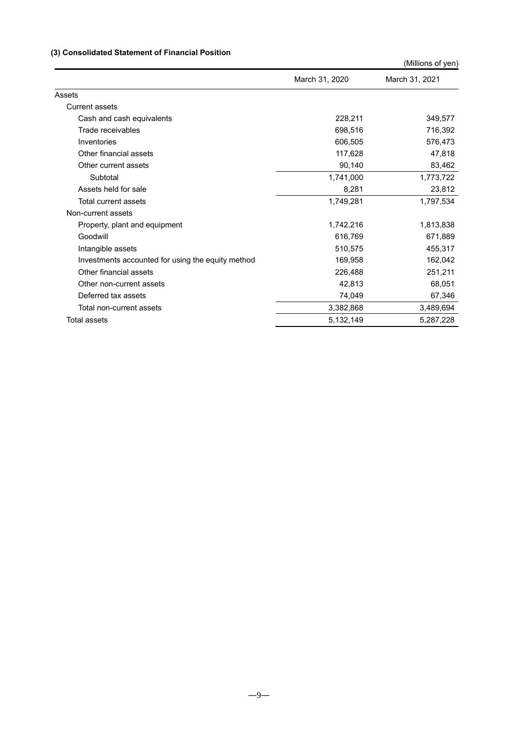## **(3) Consolidated Statement of Financial Position**

|                                                   |                | (Millions of yen) |
|---------------------------------------------------|----------------|-------------------|
|                                                   | March 31, 2020 | March 31, 2021    |
| Assets                                            |                |                   |
| Current assets                                    |                |                   |
| Cash and cash equivalents                         | 228,211        | 349,577           |
| Trade receivables                                 | 698,516        | 716,392           |
| Inventories                                       | 606.505        | 576,473           |
| Other financial assets                            | 117,628        | 47,818            |
| Other current assets                              | 90,140         | 83,462            |
| Subtotal                                          | 1,741,000      | 1,773,722         |
| Assets held for sale                              | 8,281          | 23,812            |
| Total current assets                              | 1,749,281      | 1,797,534         |
| Non-current assets                                |                |                   |
| Property, plant and equipment                     | 1,742,216      | 1,813,838         |
| Goodwill                                          | 616,769        | 671,889           |
| Intangible assets                                 | 510,575        | 455,317           |
| Investments accounted for using the equity method | 169,958        | 162,042           |
| Other financial assets                            | 226,488        | 251,211           |
| Other non-current assets                          | 42,813         | 68,051            |
| Deferred tax assets                               | 74,049         | 67,346            |
| Total non-current assets                          | 3,382,868      | 3,489,694         |
| <b>Total assets</b>                               | 5,132,149      | 5,287,228         |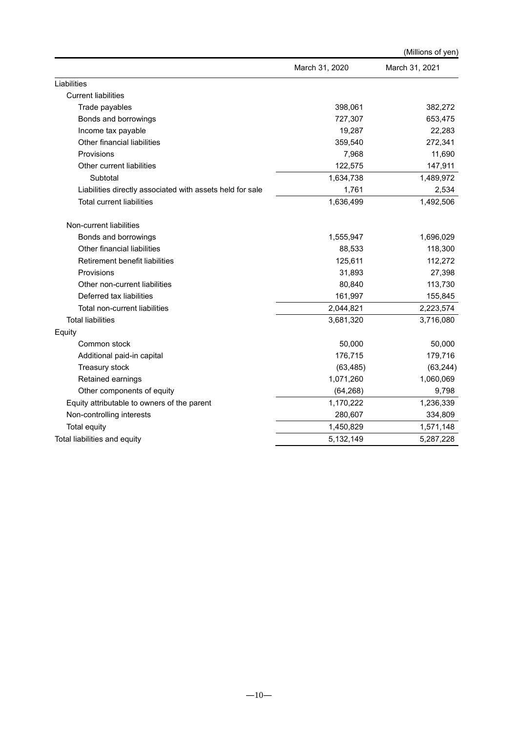|                                                           |                | (Millions of yen) |
|-----------------------------------------------------------|----------------|-------------------|
|                                                           | March 31, 2020 | March 31, 2021    |
| Liabilities                                               |                |                   |
| <b>Current liabilities</b>                                |                |                   |
| Trade payables                                            | 398,061        | 382,272           |
| Bonds and borrowings                                      | 727,307        | 653,475           |
| Income tax payable                                        | 19,287         | 22,283            |
| Other financial liabilities                               | 359,540        | 272,341           |
| Provisions                                                | 7,968          | 11,690            |
| Other current liabilities                                 | 122,575        | 147,911           |
| Subtotal                                                  | 1,634,738      | 1,489,972         |
| Liabilities directly associated with assets held for sale | 1,761          | 2,534             |
| <b>Total current liabilities</b>                          | 1,636,499      | 1,492,506         |
| Non-current liabilities                                   |                |                   |
| Bonds and borrowings                                      | 1,555,947      | 1,696,029         |
| Other financial liabilities                               | 88,533         | 118,300           |
| Retirement benefit liabilities                            | 125,611        | 112,272           |
| Provisions                                                | 31,893         | 27,398            |
| Other non-current liabilities                             | 80,840         | 113,730           |
| Deferred tax liabilities                                  | 161,997        | 155,845           |
| Total non-current liabilities                             | 2,044,821      | 2,223,574         |
| <b>Total liabilities</b>                                  | 3,681,320      | 3,716,080         |
| Equity                                                    |                |                   |
| Common stock                                              | 50,000         | 50,000            |
| Additional paid-in capital                                | 176,715        | 179,716           |
| Treasury stock                                            | (63, 485)      | (63, 244)         |
| Retained earnings                                         | 1,071,260      | 1,060,069         |
| Other components of equity                                | (64, 268)      | 9,798             |
| Equity attributable to owners of the parent               | 1,170,222      | 1,236,339         |
| Non-controlling interests                                 | 280,607        | 334,809           |
| Total equity                                              | 1,450,829      | 1,571,148         |
| Total liabilities and equity                              | 5,132,149      | 5,287,228         |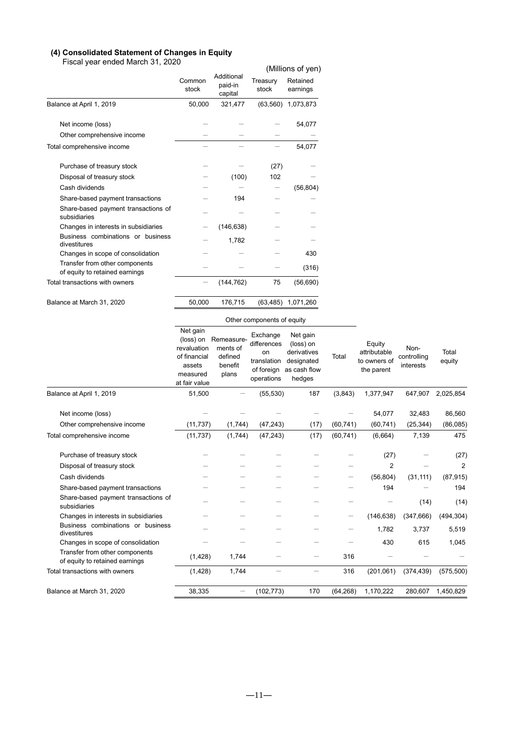#### **(4) Consolidated Statement of Changes in Equity**

Fiscal year ended March 31, 2020

| Fiscal year ended March 31, 2020                                 |                 |                                  |                   | (Millions of yen)    |
|------------------------------------------------------------------|-----------------|----------------------------------|-------------------|----------------------|
|                                                                  | Common<br>stock | Additional<br>paid-in<br>capital | Treasury<br>stock | Retained<br>earnings |
| Balance at April 1, 2019                                         | 50,000          | 321,477                          | (63, 560)         | 1,073,873            |
| Net income (loss)                                                |                 |                                  |                   | 54,077               |
| Other comprehensive income                                       |                 |                                  |                   |                      |
| Total comprehensive income                                       |                 |                                  |                   | 54,077               |
| Purchase of treasury stock                                       |                 |                                  | (27)              |                      |
| Disposal of treasury stock                                       |                 | (100)                            | 102               |                      |
| Cash dividends                                                   |                 |                                  |                   | (56, 804)            |
| Share-based payment transactions                                 |                 | 194                              |                   |                      |
| Share-based payment transactions of<br>subsidiaries              |                 |                                  |                   |                      |
| Changes in interests in subsidiaries                             |                 | (146, 638)                       |                   |                      |
| Business combinations or business<br>divestitures                |                 | 1,782                            |                   |                      |
| Changes in scope of consolidation                                |                 |                                  |                   | 430                  |
| Transfer from other components<br>of equity to retained earnings |                 |                                  |                   | (316)                |
| Total transactions with owners                                   |                 | (144, 762)                       | 75                | (56, 690)            |
| Balance at March 31, 2020                                        | 50,000          | 176,715                          | (63, 485)         | 1,071,260            |

### Other components of equity

|                                                                  | Net gain<br>(loss) on<br>revaluation<br>of financial<br>assets<br>measured<br>at fair value | Remeasure-<br>ments of<br>defined<br>benefit<br>plans | Exchange<br>differences<br>on<br>translation<br>of foreign<br>operations | Net gain<br>(loss) on<br>derivatives<br>designated<br>as cash flow<br>hedges | Total             | Equity<br>attributable<br>to owners of<br>the parent | Non-<br>controlling<br>interests | Total<br>equity |
|------------------------------------------------------------------|---------------------------------------------------------------------------------------------|-------------------------------------------------------|--------------------------------------------------------------------------|------------------------------------------------------------------------------|-------------------|------------------------------------------------------|----------------------------------|-----------------|
| Balance at April 1, 2019                                         | 51,500                                                                                      |                                                       | (55, 530)                                                                | 187                                                                          | (3,843)           | 1,377,947                                            | 647,907                          | 2,025,854       |
| Net income (loss)                                                |                                                                                             |                                                       |                                                                          |                                                                              |                   | 54,077                                               | 32,483                           | 86,560          |
| Other comprehensive income                                       | (11, 737)                                                                                   | (1,744)                                               | (47, 243)                                                                | (17)                                                                         | (60, 741)         | (60, 741)                                            | (25, 344)                        | (86,085)        |
| Total comprehensive income                                       | (11, 737)                                                                                   | (1,744)                                               | (47, 243)                                                                | (17)                                                                         | (60, 741)         | (6,664)                                              | 7,139                            | 475             |
| Purchase of treasury stock                                       |                                                                                             |                                                       |                                                                          |                                                                              |                   | (27)                                                 |                                  | (27)            |
| Disposal of treasury stock                                       |                                                                                             |                                                       |                                                                          |                                                                              |                   | $\overline{2}$                                       |                                  | $\overline{2}$  |
| Cash dividends                                                   |                                                                                             |                                                       |                                                                          |                                                                              | -                 | (56, 804)                                            | (31, 111)                        | (87, 915)       |
| Share-based payment transactions                                 |                                                                                             |                                                       |                                                                          |                                                                              |                   | 194                                                  |                                  | 194             |
| Share-based payment transactions of<br>subsidiaries              |                                                                                             |                                                       |                                                                          |                                                                              |                   |                                                      | (14)                             | (14)            |
| Changes in interests in subsidiaries                             |                                                                                             |                                                       |                                                                          |                                                                              | $\qquad \qquad -$ | (146, 638)                                           | (347, 666)                       | (494, 304)      |
| Business combinations or business<br>divestitures                |                                                                                             |                                                       |                                                                          |                                                                              |                   | 1,782                                                | 3,737                            | 5,519           |
| Changes in scope of consolidation                                |                                                                                             |                                                       |                                                                          |                                                                              |                   | 430                                                  | 615                              | 1,045           |
| Transfer from other components<br>of equity to retained earnings | (1, 428)                                                                                    | 1,744                                                 |                                                                          |                                                                              | 316               |                                                      |                                  |                 |
| Total transactions with owners                                   | (1, 428)                                                                                    | 1,744                                                 |                                                                          |                                                                              | 316               | (201,061)                                            | (374, 439)                       | (575, 500)      |
| Balance at March 31, 2020                                        | 38,335                                                                                      |                                                       | (102, 773)                                                               | 170                                                                          | (64, 268)         | 1,170,222                                            | 280,607                          | 1,450,829       |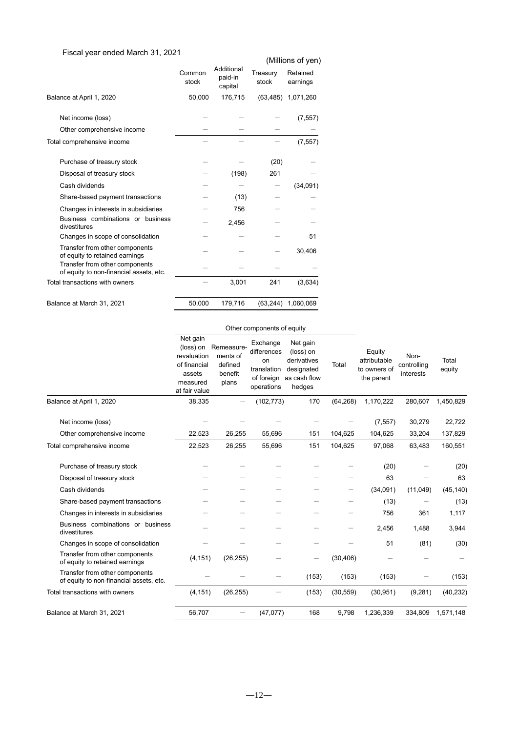## Fiscal year ended March 31, 2021

| $, \circ$ an $\circ$ n as ann ann $\circ$                                 |                 |                                  |                   | (Millions of yen)    |
|---------------------------------------------------------------------------|-----------------|----------------------------------|-------------------|----------------------|
|                                                                           | Common<br>stock | Additional<br>paid-in<br>capital | Treasury<br>stock | Retained<br>earnings |
| Balance at April 1, 2020                                                  | 50,000          | 176,715                          | (63, 485)         | 1,071,260            |
| Net income (loss)                                                         |                 |                                  |                   | (7, 557)             |
| Other comprehensive income                                                |                 |                                  |                   |                      |
| Total comprehensive income                                                |                 |                                  |                   | (7, 557)             |
| Purchase of treasury stock                                                |                 |                                  | (20)              |                      |
| Disposal of treasury stock                                                |                 | (198)                            | 261               |                      |
| Cash dividends                                                            |                 |                                  |                   | (34,091)             |
| Share-based payment transactions                                          |                 | (13)                             |                   |                      |
| Changes in interests in subsidiaries                                      |                 | 756                              |                   |                      |
| Business combinations or business<br>divestitures                         |                 | 2,456                            |                   |                      |
| Changes in scope of consolidation                                         |                 |                                  |                   | 51                   |
| Transfer from other components<br>of equity to retained earnings          |                 |                                  |                   | 30,406               |
| Transfer from other components<br>of equity to non-financial assets, etc. |                 |                                  |                   |                      |
| Total transactions with owners                                            |                 | 3,001                            | 241               | (3,634)              |
| Balance at March 31, 2021                                                 | 50,000          | 179,716                          | (63.244)          | 1,060,069            |

|                                                                           |                                                                                             |                                                       | Other components of equity                                               |                                                                              |           |                                                      |                                  |                   |
|---------------------------------------------------------------------------|---------------------------------------------------------------------------------------------|-------------------------------------------------------|--------------------------------------------------------------------------|------------------------------------------------------------------------------|-----------|------------------------------------------------------|----------------------------------|-------------------|
|                                                                           | Net gain<br>(loss) on<br>revaluation<br>of financial<br>assets<br>measured<br>at fair value | Remeasure-<br>ments of<br>defined<br>benefit<br>plans | Exchange<br>differences<br>on<br>translation<br>of foreign<br>operations | Net gain<br>(loss) on<br>derivatives<br>designated<br>as cash flow<br>hedges | Total     | Equity<br>attributable<br>to owners of<br>the parent | Non-<br>controlling<br>interests | Total<br>equity   |
| Balance at April 1, 2020                                                  | 38,335                                                                                      |                                                       | (102, 773)                                                               | 170                                                                          | (64, 268) | 1.170.222                                            | 280.607                          | 1,450,829         |
| Net income (loss)<br>Other comprehensive income                           | 22,523                                                                                      | 26,255                                                | 55,696                                                                   | 151                                                                          | 104,625   | (7, 557)<br>104,625                                  | 30,279<br>33,204                 | 22,722<br>137,829 |
| Total comprehensive income                                                | 22,523                                                                                      | 26,255                                                | 55,696                                                                   | 151                                                                          | 104,625   | 97,068                                               | 63,483                           | 160,551           |
| Purchase of treasury stock<br>Disposal of treasury stock                  |                                                                                             |                                                       |                                                                          |                                                                              |           | (20)<br>63                                           |                                  | (20)<br>63        |
| Cash dividends                                                            |                                                                                             |                                                       |                                                                          |                                                                              |           | (34,091)                                             | (11, 049)                        | (45, 140)         |
| Share-based payment transactions                                          |                                                                                             |                                                       |                                                                          |                                                                              |           | (13)                                                 |                                  | (13)              |
| Changes in interests in subsidiaries                                      |                                                                                             |                                                       |                                                                          |                                                                              |           | 756                                                  | 361                              | 1,117             |
| Business combinations or business<br>divestitures                         |                                                                                             |                                                       |                                                                          |                                                                              |           | 2,456                                                | 1,488                            | 3,944             |
| Changes in scope of consolidation                                         |                                                                                             |                                                       |                                                                          |                                                                              |           | 51                                                   | (81)                             | (30)              |
| Transfer from other components<br>of equity to retained earnings          | (4, 151)                                                                                    | (26, 255)                                             |                                                                          |                                                                              | (30, 406) |                                                      |                                  |                   |
| Transfer from other components<br>of equity to non-financial assets, etc. |                                                                                             |                                                       |                                                                          | (153)                                                                        | (153)     | (153)                                                |                                  | (153)             |
| Total transactions with owners                                            | (4, 151)                                                                                    | (26, 255)                                             |                                                                          | (153)                                                                        | (30, 559) | (30, 951)                                            | (9, 281)                         | (40, 232)         |
| Balance at March 31, 2021                                                 | 56,707                                                                                      |                                                       | (47, 077)                                                                | 168                                                                          | 9,798     | 1,236,339                                            | 334,809                          | 1,571,148         |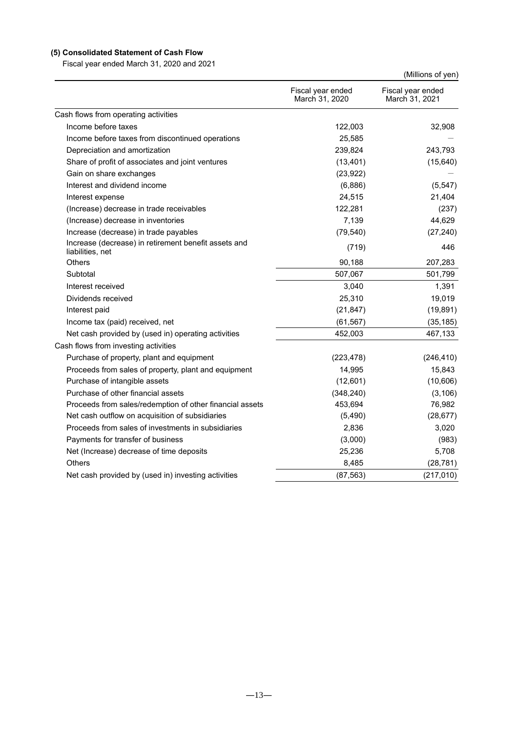## **(5) Consolidated Statement of Cash Flow**

Fiscal year ended March 31, 2020 and 2021

|                                                                          |                                     | (Millions of yen)                   |
|--------------------------------------------------------------------------|-------------------------------------|-------------------------------------|
|                                                                          | Fiscal year ended<br>March 31, 2020 | Fiscal year ended<br>March 31, 2021 |
| Cash flows from operating activities                                     |                                     |                                     |
| Income before taxes                                                      | 122,003                             | 32,908                              |
| Income before taxes from discontinued operations                         | 25,585                              |                                     |
| Depreciation and amortization                                            | 239,824                             | 243,793                             |
| Share of profit of associates and joint ventures                         | (13, 401)                           | (15, 640)                           |
| Gain on share exchanges                                                  | (23, 922)                           |                                     |
| Interest and dividend income                                             | (6,886)                             | (5, 547)                            |
| Interest expense                                                         | 24,515                              | 21,404                              |
| (Increase) decrease in trade receivables                                 | 122,281                             | (237)                               |
| (Increase) decrease in inventories                                       | 7,139                               | 44,629                              |
| Increase (decrease) in trade payables                                    | (79, 540)                           | (27, 240)                           |
| Increase (decrease) in retirement benefit assets and<br>liabilities, net | (719)                               | 446                                 |
| Others                                                                   | 90,188                              | 207,283                             |
| Subtotal                                                                 | 507,067                             | 501,799                             |
| Interest received                                                        | 3,040                               | 1,391                               |
| Dividends received                                                       | 25,310                              | 19,019                              |
| Interest paid                                                            | (21, 847)                           | (19, 891)                           |
| Income tax (paid) received, net                                          | (61, 567)                           | (35, 185)                           |
| Net cash provided by (used in) operating activities                      | 452,003                             | 467,133                             |
| Cash flows from investing activities                                     |                                     |                                     |
| Purchase of property, plant and equipment                                | (223, 478)                          | (246, 410)                          |
| Proceeds from sales of property, plant and equipment                     | 14,995                              | 15,843                              |
| Purchase of intangible assets                                            | (12,601)                            | (10,606)                            |
| Purchase of other financial assets                                       | (348, 240)                          | (3, 106)                            |
| Proceeds from sales/redemption of other financial assets                 | 453,694                             | 76,982                              |
| Net cash outflow on acquisition of subsidiaries                          | (5,490)                             | (28, 677)                           |
| Proceeds from sales of investments in subsidiaries                       | 2,836                               | 3,020                               |
| Payments for transfer of business                                        | (3,000)                             | (983)                               |
| Net (Increase) decrease of time deposits                                 | 25,236                              | 5,708                               |
| Others                                                                   | 8,485                               | (28, 781)                           |
| Net cash provided by (used in) investing activities                      | (87, 563)                           | (217, 010)                          |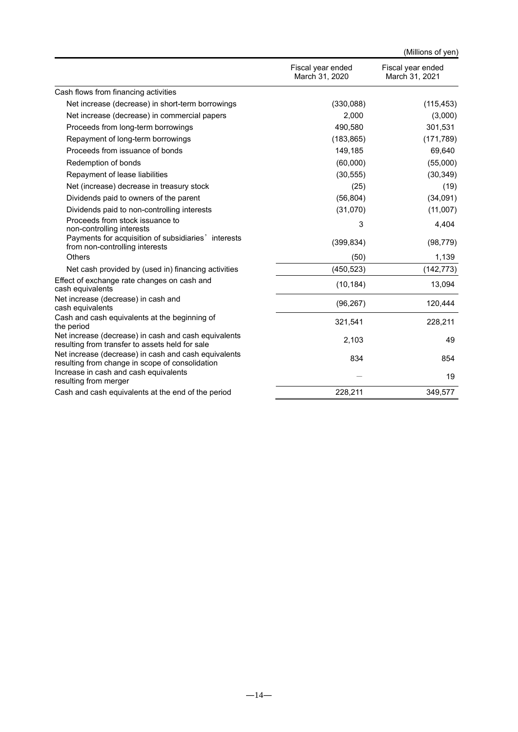|                                                                                                         |                                     | (Millions of yen)                   |
|---------------------------------------------------------------------------------------------------------|-------------------------------------|-------------------------------------|
|                                                                                                         | Fiscal year ended<br>March 31, 2020 | Fiscal year ended<br>March 31, 2021 |
| Cash flows from financing activities                                                                    |                                     |                                     |
| Net increase (decrease) in short-term borrowings                                                        | (330,088)                           | (115, 453)                          |
| Net increase (decrease) in commercial papers                                                            | 2,000                               | (3,000)                             |
| Proceeds from long-term borrowings                                                                      | 490,580                             | 301,531                             |
| Repayment of long-term borrowings                                                                       | (183, 865)                          | (171, 789)                          |
| Proceeds from issuance of bonds                                                                         | 149,185                             | 69,640                              |
| Redemption of bonds                                                                                     | (60,000)                            | (55,000)                            |
| Repayment of lease liabilities                                                                          | (30, 555)                           | (30, 349)                           |
| Net (increase) decrease in treasury stock                                                               | (25)                                | (19)                                |
| Dividends paid to owners of the parent                                                                  | (56, 804)                           | (34,091)                            |
| Dividends paid to non-controlling interests                                                             | (31,070)                            | (11,007)                            |
| Proceeds from stock issuance to<br>non-controlling interests                                            | 3                                   | 4,404                               |
| Payments for acquisition of subsidiaries' interests<br>from non-controlling interests                   | (399, 834)                          | (98, 779)                           |
| Others                                                                                                  | (50)                                | 1,139                               |
| Net cash provided by (used in) financing activities                                                     | (450, 523)                          | (142, 773)                          |
| Effect of exchange rate changes on cash and<br>cash equivalents                                         | (10, 184)                           | 13,094                              |
| Net increase (decrease) in cash and<br>cash equivalents                                                 | (96, 267)                           | 120,444                             |
| Cash and cash equivalents at the beginning of<br>the period                                             | 321,541                             | 228,211                             |
| Net increase (decrease) in cash and cash equivalents<br>resulting from transfer to assets held for sale | 2,103                               | 49                                  |
| Net increase (decrease) in cash and cash equivalents<br>resulting from change in scope of consolidation | 834                                 | 854                                 |
| Increase in cash and cash equivalents<br>resulting from merger                                          |                                     | 19                                  |
| Cash and cash equivalents at the end of the period                                                      | 228,211                             | 349,577                             |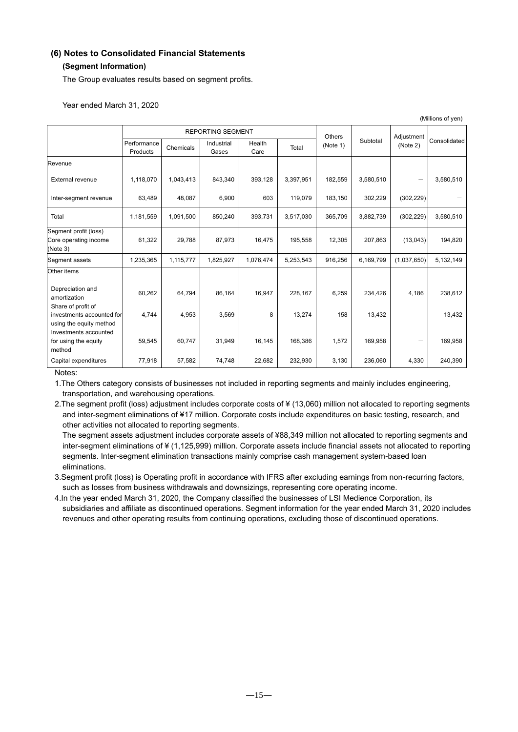# **(6) Notes to Consolidated Financial Statements**

## **(Segment Information)**

The Group evaluates results based on segment profits.

Year ended March 31, 2020

|                                                                            | <b>REPORTING SEGMENT</b> |           |                     |                |           | Others   |           | Adjustment               |              |
|----------------------------------------------------------------------------|--------------------------|-----------|---------------------|----------------|-----------|----------|-----------|--------------------------|--------------|
|                                                                            | Performance<br>Products  | Chemicals | Industrial<br>Gases | Health<br>Care | Total     | (Note 1) | Subtotal  | (Note 2)                 | Consolidated |
| Revenue                                                                    |                          |           |                     |                |           |          |           |                          |              |
| <b>External revenue</b>                                                    | 1,118,070                | 1,043,413 | 843,340             | 393,128        | 3,397,951 | 182,559  | 3,580,510 | -                        | 3,580,510    |
| Inter-segment revenue                                                      | 63,489                   | 48,087    | 6,900               | 603            | 119,079   | 183,150  | 302,229   | (302, 229)               |              |
| Total                                                                      | 1,181,559                | 1,091,500 | 850,240             | 393,731        | 3,517,030 | 365,709  | 3,882,739 | (302, 229)               | 3,580,510    |
| Segment profit (loss)<br>Core operating income<br>(Note 3)                 | 61,322                   | 29,788    | 87,973              | 16,475         | 195,558   | 12,305   | 207.863   | (13,043)                 | 194,820      |
| Segment assets                                                             | 1,235,365                | 1,115,777 | 1,825,927           | 1,076,474      | 5,253,543 | 916,256  | 6,169,799 | (1,037,650)              | 5,132,149    |
| Other items                                                                |                          |           |                     |                |           |          |           |                          |              |
| Depreciation and<br>amortization                                           | 60,262                   | 64,794    | 86,164              | 16,947         | 228,167   | 6,259    | 234,426   | 4,186                    | 238,612      |
| Share of profit of<br>investments accounted for<br>using the equity method | 4,744                    | 4,953     | 3,569               | 8              | 13,274    | 158      | 13,432    |                          | 13,432       |
| Investments accounted<br>for using the equity<br>method                    | 59,545                   | 60,747    | 31,949              | 16,145         | 168,386   | 1,572    | 169,958   | $\overline{\phantom{0}}$ | 169,958      |
| Capital expenditures                                                       | 77,918                   | 57,582    | 74,748              | 22,682         | 232,930   | 3,130    | 236,060   | 4,330                    | 240,390      |

(Millions of yen)

Notes:

1.The Others category consists of businesses not included in reporting segments and mainly includes engineering, transportation, and warehousing operations.

2.The segment profit (loss) adjustment includes corporate costs of ¥ (13,060) million not allocated to reporting segments and inter-segment eliminations of ¥17 million. Corporate costs include expenditures on basic testing, research, and other activities not allocated to reporting segments.

The segment assets adjustment includes corporate assets of ¥88,349 million not allocated to reporting segments and inter-segment eliminations of ¥ (1,125,999) million. Corporate assets include financial assets not allocated to reporting segments. Inter-segment elimination transactions mainly comprise cash management system-based loan eliminations.

3.Segment profit (loss) is Operating profit in accordance with IFRS after excluding earnings from non-recurring factors, such as losses from business withdrawals and downsizings, representing core operating income.

4.In the year ended March 31, 2020, the Company classified the businesses of LSI Medience Corporation, its subsidiaries and affiliate as discontinued operations. Segment information for the year ended March 31, 2020 includes revenues and other operating results from continuing operations, excluding those of discontinued operations.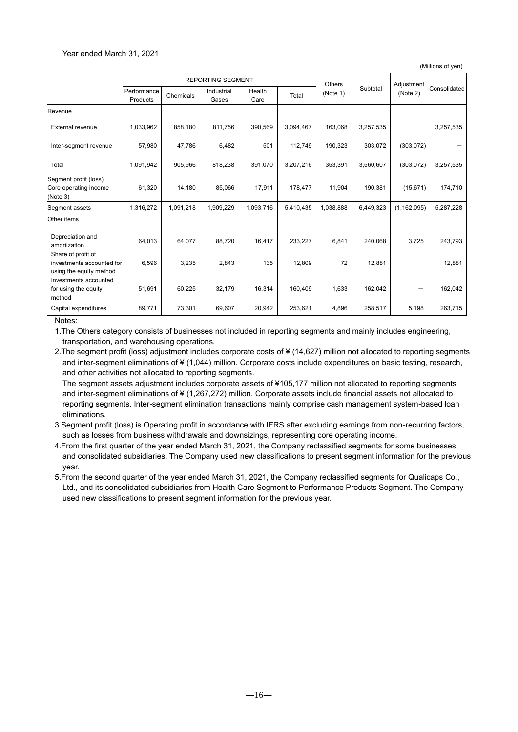#### Year ended March 31, 2021

(Millions of yen)

|                                                            | <b>REPORTING SEGMENT</b> |           |                     |                |           | <b>Others</b> |           | Adjustment    |              |
|------------------------------------------------------------|--------------------------|-----------|---------------------|----------------|-----------|---------------|-----------|---------------|--------------|
|                                                            | Performance<br>Products  | Chemicals | Industrial<br>Gases | Health<br>Care | Total     | (Note 1)      | Subtotal  | (Note 2)      | Consolidated |
| Revenue                                                    |                          |           |                     |                |           |               |           |               |              |
| <b>External revenue</b>                                    | 1,033,962                | 858,180   | 811,756             | 390,569        | 3,094,467 | 163,068       | 3,257,535 |               | 3,257,535    |
| Inter-segment revenue                                      | 57,980                   | 47,786    | 6,482               | 501            | 112,749   | 190,323       | 303,072   | (303,072)     |              |
| Total                                                      | 1,091,942                | 905,966   | 818,238             | 391,070        | 3,207,216 | 353,391       | 3,560,607 | (303,072)     | 3,257,535    |
| Segment profit (loss)<br>Core operating income<br>(Note 3) | 61,320                   | 14,180    | 85,066              | 17,911         | 178,477   | 11,904        | 190,381   | (15,671)      | 174,710      |
| Segment assets                                             | 1,316,272                | 1,091,218 | 1,909,229           | 1,093,716      | 5,410,435 | 1,038,888     | 6,449,323 | (1, 162, 095) | 5,287,228    |
| Other items                                                |                          |           |                     |                |           |               |           |               |              |
| Depreciation and<br>amortization<br>Share of profit of     | 64,013                   | 64,077    | 88,720              | 16,417         | 233,227   | 6,841         | 240,068   | 3,725         | 243,793      |
| investments accounted for<br>using the equity method       | 6,596                    | 3,235     | 2,843               | 135            | 12,809    | 72            | 12,881    |               | 12,881       |
| Investments accounted<br>for using the equity<br>method    | 51,691                   | 60,225    | 32,179              | 16,314         | 160,409   | 1,633         | 162,042   |               | 162,042      |
| Capital expenditures                                       | 89,771                   | 73,301    | 69,607              | 20,942         | 253,621   | 4,896         | 258,517   | 5,198         | 263,715      |

Notes:

1.The Others category consists of businesses not included in reporting segments and mainly includes engineering, transportation, and warehousing operations.

2.The segment profit (loss) adjustment includes corporate costs of ¥ (14,627) million not allocated to reporting segments and inter-segment eliminations of ¥ (1,044) million. Corporate costs include expenditures on basic testing, research, and other activities not allocated to reporting segments.

The segment assets adjustment includes corporate assets of ¥105,177 million not allocated to reporting segments and inter-segment eliminations of ¥ (1,267,272) million. Corporate assets include financial assets not allocated to reporting segments. Inter-segment elimination transactions mainly comprise cash management system-based loan eliminations.

3.Segment profit (loss) is Operating profit in accordance with IFRS after excluding earnings from non-recurring factors, such as losses from business withdrawals and downsizings, representing core operating income.

4.From the first quarter of the year ended March 31, 2021, the Company reclassified segments for some businesses and consolidated subsidiaries. The Company used new classifications to present segment information for the previous year.

5.From the second quarter of the year ended March 31, 2021, the Company reclassified segments for Qualicaps Co., Ltd., and its consolidated subsidiaries from Health Care Segment to Performance Products Segment. The Company used new classifications to present segment information for the previous year.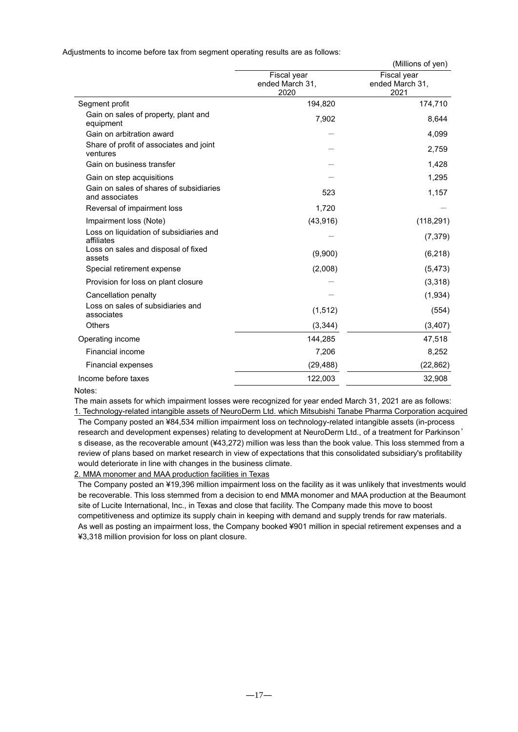Adjustments to income before tax from segment operating results are as follows:

|                                                           |                                        | (Millions of yen)                      |
|-----------------------------------------------------------|----------------------------------------|----------------------------------------|
|                                                           | Fiscal year<br>ended March 31,<br>2020 | Fiscal year<br>ended March 31,<br>2021 |
| Segment profit                                            | 194,820                                | 174,710                                |
| Gain on sales of property, plant and<br>equipment         | 7,902                                  | 8,644                                  |
| Gain on arbitration award                                 |                                        | 4,099                                  |
| Share of profit of associates and joint<br>ventures       |                                        | 2,759                                  |
| Gain on business transfer                                 |                                        | 1,428                                  |
| Gain on step acquisitions                                 |                                        | 1,295                                  |
| Gain on sales of shares of subsidiaries<br>and associates | 523                                    | 1,157                                  |
| Reversal of impairment loss                               | 1,720                                  |                                        |
| Impairment loss (Note)                                    | (43, 916)                              | (118, 291)                             |
| Loss on liquidation of subsidiaries and<br>affiliates     |                                        | (7, 379)                               |
| Loss on sales and disposal of fixed<br>assets             | (9,900)                                | (6, 218)                               |
| Special retirement expense                                | (2,008)                                | (5, 473)                               |
| Provision for loss on plant closure                       |                                        | (3,318)                                |
| Cancellation penalty                                      |                                        | (1,934)                                |
| Loss on sales of subsidiaries and<br>associates           | (1,512)                                | (554)                                  |
| Others                                                    | (3,344)                                | (3, 407)                               |
| Operating income                                          | 144,285                                | 47,518                                 |
| Financial income                                          | 7,206                                  | 8,252                                  |
| <b>Financial expenses</b>                                 | (29, 488)                              | (22, 862)                              |
| Income before taxes                                       | 122,003                                | 32,908                                 |

#### Notes:

The main assets for which impairment losses were recognized for year ended March 31, 2021 are as follows:

1. Technology-related intangible assets of NeuroDerm Ltd. which Mitsubishi Tanabe Pharma Corporation acquired The Company posted an ¥84,534 million impairment loss on technology-related intangible assets (in-process research and development expenses) relating to development at NeuroDerm Ltd., of a treatment for Parkinson' s disease, as the recoverable amount (¥43,272) million was less than the book value. This loss stemmed from a review of plans based on market research in view of expectations that this consolidated subsidiary's profitability would deteriorate in line with changes in the business climate.

2. MMA monomer and MAA production facilities in Texas

The Company posted an ¥19,396 million impairment loss on the facility as it was unlikely that investments would be recoverable. This loss stemmed from a decision to end MMA monomer and MAA production at the Beaumont site of Lucite International, Inc., in Texas and close that facility. The Company made this move to boost competitiveness and optimize its supply chain in keeping with demand and supply trends for raw materials. As well as posting an impairment loss, the Company booked ¥901 million in special retirement expenses and a ¥3,318 million provision for loss on plant closure.